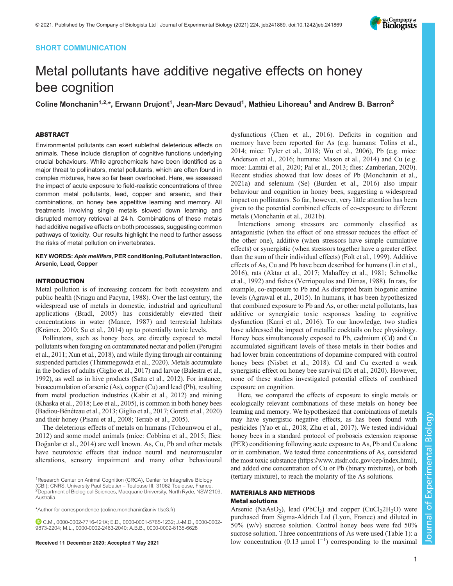# SHORT COMMUNICATION

# Metal pollutants have additive negative effects on honey bee cognition

Coline Monchanin<sup>1,2,</sup>\*, Erwann Drujont<sup>1</sup>, Jean-Marc Devaud<sup>1</sup>, Mathieu Lihoreau<sup>1</sup> and Andrew B. Barron<sup>2</sup>

# ABSTRACT

Environmental pollutants can exert sublethal deleterious effects on animals. These include disruption of cognitive functions underlying crucial behaviours. While agrochemicals have been identified as a major threat to pollinators, metal pollutants, which are often found in complex mixtures, have so far been overlooked. Here, we assessed the impact of acute exposure to field-realistic concentrations of three common metal pollutants, lead, copper and arsenic, and their combinations, on honey bee appetitive learning and memory. All treatments involving single metals slowed down learning and disrupted memory retrieval at 24 h. Combinations of these metals had additive negative effects on both processes, suggesting common pathways of toxicity. Our results highlight the need to further assess the risks of metal pollution on invertebrates.

## KEY WORDS: Apis mellifera, PER conditioning, Pollutant interaction, Arsenic, Lead, Copper

## INTRODUCTION

Metal pollution is of increasing concern for both ecosystem and public health [\(Nriagu and Pacyna, 1988\)](#page-5-0). Over the last century, the widespread use of metals in domestic, industrial and agricultural applications ([Bradl, 2005](#page-4-0)) has considerably elevated their concentrations in water ([Mance, 1987](#page-5-0)) and terrestrial habitats [\(Krämer, 2010; Su et al., 2014](#page-5-0)) up to potentially toxic levels.

Pollinators, such as honey bees, are directly exposed to metal pollutants when foraging on contaminated nectar and pollen [\(Perugini](#page-5-0) [et al., 2011](#page-5-0); [Xun et al., 2018\)](#page-5-0), and while flying through air containing suspended particles ([Thimmegowda et al., 2020\)](#page-5-0). Metals accumulate in the bodies of adults [\(Giglio et al., 2017](#page-4-0)) and larvae [\(Balestra et al.,](#page-4-0) [1992\)](#page-4-0), as well as in hive products ([Satta et al., 2012](#page-5-0)). For instance, bioaccumulation of arsenic (As), copper (Cu) and lead (Pb), resulting from metal production industries [\(Kabir et al., 2012](#page-4-0)) and mining [\(Khaska et al., 2018;](#page-4-0) [Lee et al., 2005\)](#page-5-0), is common in both honey bees [\(Badiou-Bénéteau et al., 2013](#page-4-0); [Giglio et al., 2017; Goretti et al., 2020\)](#page-4-0) and their honey [\(Pisani et al., 2008; Terrab et al., 2005\)](#page-5-0).

The deleterious effects of metals on humans [\(Tchounwou et al.,](#page-5-0) [2012](#page-5-0)) and some model animals (mice: [Cobbina et al., 2015;](#page-4-0) flies: Doğ [anlar et al., 2014](#page-4-0)) are well known. As, Cu, Pb and other metals have neurotoxic effects that induce neural and neuromuscular alterations, sensory impairment and many other behavioural

\*Author for correspondence [\(coline.monchanin@univ-tlse3.fr\)](mailto:coline.monchanin@univ-tlse3.fr)

C.M., [0000-0002-7716-421X;](http://orcid.org/0000-0002-7716-421X) E.D., [0000-0001-5765-1232;](http://orcid.org/0000-0001-5765-1232) J.-M.D., [0000-0002-](http://orcid.org/0000-0002-9873-2204) [9873-2204](http://orcid.org/0000-0002-9873-2204); M.L., [0000-0002-2463-2040](http://orcid.org/0000-0002-2463-2040); A.B.B., [0000-0002-8135-6628](http://orcid.org/0000-0002-8135-6628)

dysfunctions ([Chen et al., 2016](#page-4-0)). Deficits in cognition and memory have been reported for As (e.g. humans: [Tolins et al.,](#page-5-0) [2014;](#page-5-0) mice: [Tyler et al., 2018; Wu et al., 2006\)](#page-5-0), Pb (e.g. mice: [Anderson et al., 2016;](#page-4-0) humans: [Mason et al., 2014\)](#page-5-0) and Cu (e.g. mice: [Lamtai et al., 2020](#page-5-0); [Pal et al., 2013;](#page-5-0) flies: [Zamberlan, 2020\)](#page-6-0). Recent studies showed that low doses of Pb ([Monchanin et al.,](#page-5-0) [2021a](#page-5-0)) and selenium (Se) ([Burden et al., 2016\)](#page-4-0) also impair behaviour and cognition in honey bees, suggesting a widespread impact on pollinators. So far, however, very little attention has been given to the potential combined effects of co-exposure to different metals [\(Monchanin et al., 2021b](#page-5-0)).

Interactions among stressors are commonly classified as antagonistic (when the effect of one stressor reduces the effect of the other one), additive (when stressors have simple cumulative effects) or synergistic (when stressors together have a greater effect than the sum of their individual effects) ([Folt et al., 1999\)](#page-4-0). Additive effects of As, Cu and Pb have been described for humans ([Lin et al.,](#page-5-0) [2016\)](#page-5-0), rats ([Aktar et al., 2017;](#page-4-0) [Mahaffey et al., 1981](#page-5-0); [Schmolke](#page-5-0) [et al., 1992\)](#page-5-0) and fishes ([Verriopoulos and Dimas, 1988\)](#page-5-0). In rats, for example, co-exposure to Pb and As disrupted brain biogenic amine levels ([Agrawal et al., 2015\)](#page-4-0). In humans, it has been hypothesized that combined exposure to Pb and As, or other metal pollutants, has additive or synergistic toxic responses leading to cognitive dysfunction [\(Karri et al., 2016](#page-4-0)). To our knowledge, two studies have addressed the impact of metallic cocktails on bee physiology. Honey bees simultaneously exposed to Pb, cadmium (Cd) and Cu accumulated significant levels of these metals in their bodies and had lower brain concentrations of dopamine compared with control honey bees ([Nisbet et al., 2018\)](#page-5-0). Cd and Cu exerted a weak synergistic effect on honey bee survival [\(Di et al., 2020\)](#page-4-0). However, none of these studies investigated potential effects of combined exposure on cognition.

Here, we compared the effects of exposure to single metals or ecologically relevant combinations of these metals on honey bee learning and memory. We hypothesized that combinations of metals may have synergistic negative effects, as has been found with pesticides ([Yao et al., 2018;](#page-5-0) [Zhu et al., 2017](#page-6-0)). We tested individual honey bees in a standard protocol of proboscis extension response (PER) conditioning following acute exposure to As, Pb and Cu alone or in combination. We tested three concentrations of As, considered the most toxic substance (<https://www.atsdr.cdc.gov/cep/index.html>), and added one concentration of Cu or Pb (binary mixtures), or both (tertiary mixture), to reach the molarity of the As solutions.

# MATERIALS AND METHODS Metal solutions

Arsenic (NaAsO<sub>2</sub>), lead (PbCl<sub>2</sub>) and copper (CuCl<sub>2</sub>2H<sub>2</sub>O) were purchased from Sigma-Aldrich Ltd (Lyon, France) and diluted in 50% (w/v) sucrose solution. Control honey bees were fed 50% sucrose solution. Three concentrations of As were used ([Table 1\)](#page-1-0): a Received 11 December 2020; Accepted 7 May 2021 1 000 concentration (0.13 µmol 1<sup>-1</sup>) corresponding to the maximal



<sup>&</sup>lt;sup>1</sup>Research Center on Animal Cognition (CRCA), Center for Integrative Biology (CBI); CNRS, University Paul Sabatier – Toulouse III, 31062 Toulouse, France <sup>2</sup> Department of Biological Sciences, Macquarie University, North Ryde, NSW 2109, Australia.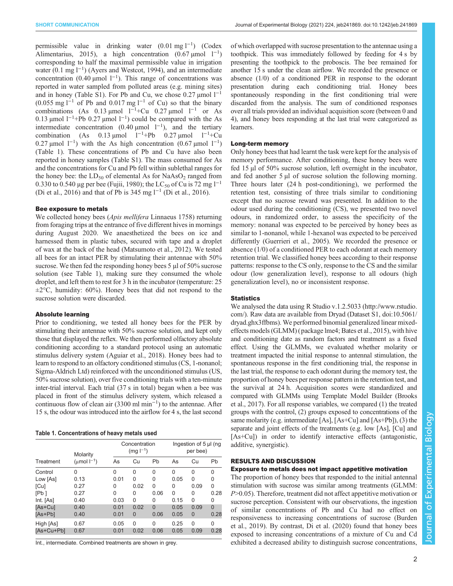<span id="page-1-0"></span>permissible value in drinking water  $(0.01 \text{ mg l}^{-1})$  ([Codex](#page-4-0) [Alimentarius, 2015\)](#page-4-0), a high concentration  $(0.67 \text{ }\mu\text{mol} \quad l^{-1})$ corresponding to half the maximal permissible value in irrigation water (0.1 mg l<sup>-1</sup>) [\(Ayers and Westcot, 1994\)](#page-4-0), and an intermediate concentration (0.40 µmol  $1^{-1}$ ). This range of concentrations was reported in water sampled from polluted areas (e.g. mining sites) and in honey [\(Table S1](https://journals.biologists.com/jeb/article-lookup/DOI/10.1242/jeb.241869)). For Pb and Cu, we chose  $0.27 \mu$ mol l<sup>-1</sup>  $(0.055 \text{ mg l}^{-1} \text{ of Pb and } 0.017 \text{ mg l}^{-1} \text{ of Cu})$  so that the binary combinations (As  $0.13 \text{ \mu mol}$  l<sup>-1</sup>+Cu  $0.27 \text{ \mu mol}$  l<sup>-1</sup> or As 0.13 µmol  $1^{-1}$ +Pb 0.27 µmol  $1^{-1}$ ) could be compared with the As intermediate concentration (0.40 µmol  $1^{-1}$ ), and the tertiary combination (As  $0.13 \mu$ mol l<sup>-1</sup>+Pb  $0.27 \mu$ mol l<sup>-1</sup>+Cu 0.27 µmol  $1^{-1}$ ) with the As high concentration (0.67 µmol  $1^{-1}$ ) (Table 1). These concentrations of Pb and Cu have also been reported in honey samples ([Table S1\)](https://journals.biologists.com/jeb/article-lookup/DOI/10.1242/jeb.241869). The mass consumed for As and the concentrations for Cu and Pb fell within sublethal ranges for the honey bee: the  $LD_{50}$  of elemental As for NaAsO<sub>2</sub> ranged from 0.330 to 0.540 µg per bee [\(Fujii, 1980](#page-4-0)); the LC<sub>50</sub> of Cu is 72 mg l<sup>-1</sup> [\(Di et al., 2016\)](#page-4-0) and that of Pb is 345 mg l−<sup>1</sup> [\(Di et al., 2016\)](#page-4-0).

## Bee exposure to metals

We collected honey bees (Apis mellifera Linnaeus 1758) returning from foraging trips at the entrance of five different hives in mornings during August 2020. We anaesthetized the bees on ice and harnessed them in plastic tubes, secured with tape and a droplet of wax at the back of the head [\(Matsumoto et al., 2012](#page-5-0)). We tested all bees for an intact PER by stimulating their antennae with 50% sucrose. We then fed the responding honey bees 5 µl of 50% sucrose solution (see Table 1), making sure they consumed the whole droplet, and left them to rest for 3 h in the incubator (temperature: 25  $\pm 2^{\circ}$ C, humidity: 60%). Honey bees that did not respond to the sucrose solution were discarded.

## Absolute learning

Prior to conditioning, we tested all honey bees for the PER by stimulating their antennae with 50% sucrose solution, and kept only those that displayed the reflex. We then performed olfactory absolute conditioning according to a standard protocol using an automatic stimulus delivery system [\(Aguiar et al., 2018](#page-4-0)). Honey bees had to learn to respond to an olfactory conditioned stimulus (CS, 1-nonanol; Sigma-Aldrich Ltd) reinforced with the unconditioned stimulus (US, 50% sucrose solution), over five conditioning trials with a ten-minute inter-trial interval. Each trial (37 s in total) began when a bee was placed in front of the stimulus delivery system, which released a continuous flow of clean air (3300 ml min−<sup>1</sup> ) to the antennae. After 15 s, the odour was introduced into the airflow for 4 s, the last second

|  | Table 1. Concentrations of heavy metals used |  |  |  |  |
|--|----------------------------------------------|--|--|--|--|
|--|----------------------------------------------|--|--|--|--|

| Treatment  | Molarity<br>(umol $I^{-1}$ ) | Concentration<br>$(mg l^{-1})$ |          |          | Ingestion of 5 µl (ng<br>per bee) |          |          |
|------------|------------------------------|--------------------------------|----------|----------|-----------------------------------|----------|----------|
|            |                              | As                             | Cu       | Pb       | As                                | Cu       | Pb       |
| Control    | 0                            | $\Omega$                       | 0        | $\Omega$ | 0                                 | 0        | $\Omega$ |
| Low [As]   | 0.13                         | 0.01                           | 0        | 0        | 0.05                              | 0        | $\Omega$ |
| [Cu]       | 0.27                         | 0                              | 0.02     | $\Omega$ | 0                                 | 0.09     | 0        |
| [Pb]       | 0.27                         | $\Omega$                       | 0        | 0.06     | $\Omega$                          | 0        | 0.28     |
| Int. [As]  | 0.40                         | 0.03                           | $\Omega$ | 0        | 0.15                              | 0        | $\Omega$ |
| [As+Cu]    | 0.40                         | 0.01                           | 0.02     | $\Omega$ | 0.05                              | 0.09     | $\Omega$ |
| [As+Pb]    | 0.40                         | 0.01                           | $\Omega$ | 0.06     | 0.05                              | $\Omega$ | 0.28     |
| High [As]  | 0.67                         | 0.05                           | $\Omega$ | $\Omega$ | 0.25                              | $\Omega$ | $\Omega$ |
| [As+Cu+Pb] | 0.67                         | 0.01                           | 0.02     | 0.06     | 0.05                              | 0.09     | 0.28     |

Int., intermediate. Combined treatments are shown in grey.

of which overlapped with sucrose presentation to the antennae using a toothpick. This was immediately followed by feeding for 4 s by presenting the toothpick to the proboscis. The bee remained for another 15 s under the clean airflow. We recorded the presence or absence (1/0) of a conditioned PER in response to the odorant presentation during each conditioning trial. Honey bees spontaneously responding in the first conditioning trial were discarded from the analysis. The sum of conditioned responses over all trials provided an individual acquisition score (between 0 and 4), and honey bees responding at the last trial were categorized as learners.

## Long-term memory

Only honey bees that had learnt the task were kept for the analysis of memory performance. After conditioning, these honey bees were fed 15 µl of 50% sucrose solution, left overnight in the incubator, and fed another 5 µl of sucrose solution the following morning. Three hours later (24 h post-conditioning), we performed the retention test, consisting of three trials similar to conditioning except that no sucrose reward was presented. In addition to the odour used during the conditioning (CS), we presented two novel odours, in randomized order, to assess the specificity of the memory: nonanal was expected to be perceived by honey bees as similar to 1-nonanol, while 1-hexanol was expected to be perceived differently [\(Guerrieri et al., 2005\)](#page-4-0). We recorded the presence or absence (1/0) of a conditioned PER to each odorant at each memory retention trial. We classified honey bees according to their response patterns: response to the CS only, response to the CS and the similar odour (low generalization level), response to all odours (high generalization level), no or inconsistent response.

#### **Statistics**

We analysed the data using R Studio v.1.2.5033 [\(http://www.rstudio.](http://www.rstudio.com) [com](http://www.rstudio.com)/). Raw data are available from Dryad (Dataset S1, [doi:10.5061/](https://doi.org/10.5061/dryad.ghx3ffbms) [dryad.ghx3ffbms](https://doi.org/10.5061/dryad.ghx3ffbms)). We performed binomial generalized linear mixedeffects models (GLMM) (package lme4; [Bates et al., 2015](#page-4-0)), with hive and conditioning date as random factors and treatment as a fixed effect. Using the GLMMs, we evaluated whether molarity or treatment impacted the initial response to antennal stimulation, the spontaneous response in the first conditioning trial, the response in the last trial, the response to each odorant during the memory test, the proportion of honey bees per response pattern in the retention test, and the survival at 24 h. Acquisition scores were standardized and compared with GLMMs using Template Model Builder [\(Brooks](#page-4-0) [et al., 2017](#page-4-0)). For all response variables, we compared (1) the treated groups with the control, (2) groups exposed to concentrations of the same molarity (e.g. intermediate [As], [As+Cu] and [As+Pb]), (3) the separate and joint effects of the treatments (e.g. low [As], [Cu] and [As+Cu]) in order to identify interactive effects (antagonistic, additive, synergistic).

## RESULTS AND DISCUSSION

## Exposure to metals does not impact appetitive motivation

The proportion of honey bees that responded to the initial antennal stimulation with sucrose was similar among treatments (GLMM:  $P > 0.05$ ). Therefore, treatment did not affect appetitive motivation or sucrose perception. Consistent with our observations, the ingestion of similar concentrations of Pb and Cu had no effect on responsiveness to increasing concentrations of sucrose [\(Burden](#page-4-0) [et al., 2019\)](#page-4-0). By contrast, [Di et al. \(2020\)](#page-4-0) found that honey bees exposed to increasing concentrations of a mixture of Cu and Cd exhibited a decreased ability to distinguish sucrose concentrations,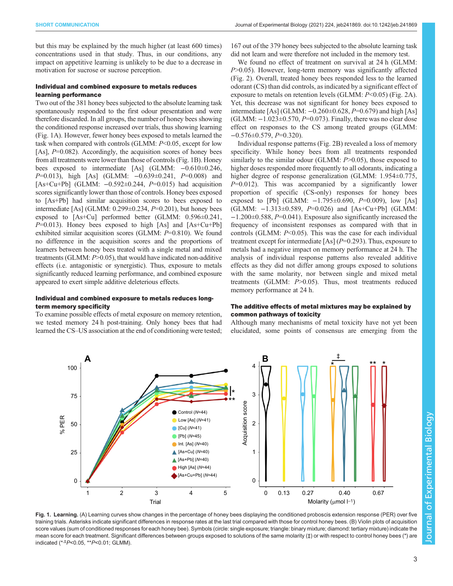but this may be explained by the much higher (at least 600 times) concentrations used in that study. Thus, in our conditions, any impact on appetitive learning is unlikely to be due to a decrease in motivation for sucrose or sucrose perception.

# Individual and combined exposure to metals reduces learning performance

Two out of the 381 honey bees subjected to the absolute learning task spontaneously responded to the first odour presentation and were therefore discarded. In all groups, the number of honey bees showing the conditioned response increased over trials, thus showing learning (Fig. 1A). However, fewer honey bees exposed to metals learned the task when compared with controls (GLMM: P<0.05, except for low [As],  $P=0.082$ ). Accordingly, the acquisition scores of honey bees from all treatments were lower than those of controls (Fig. 1B). Honey bees exposed to intermediate [As] (GLMM: −0.610±0.246, P=0.013), high [As] (GLMM: -0.639±0.241, P=0.008) and [As+Cu+Pb] (GLMM:  $-0.592 \pm 0.244$ ,  $P=0.015$ ) had acquisition scores significantly lower than those of controls. Honey bees exposed to [As+Pb] had similar acquisition scores to bees exposed to intermediate [As] (GLMM:  $0.299 \pm 0.234$ ,  $P = 0.201$ ), but honey bees exposed to [As+Cu] performed better (GLMM: 0.596±0.241,  $P=0.013$ ). Honey bees exposed to high [As] and [As+Cu+Pb] exhibited similar acquisition scores (GLMM:  $P=0.810$ ). We found no difference in the acquisition scores and the proportions of learners between honey bees treated with a single metal and mixed treatments (GLMM:  $P > 0.05$ ), that would have indicated non-additive effects (i.e. antagonistic or synergistic). Thus, exposure to metals significantly reduced learning performance, and combined exposure appeared to exert simple additive deleterious effects.

# Individual and combined exposure to metals reduces longterm memory specificity

To examine possible effects of metal exposure on memory retention, we tested memory 24 h post-training. Only honey bees that had learned the CS–US association at the end of conditioning were tested;

167 out of the 379 honey bees subjected to the absolute learning task did not learn and were therefore not included in the memory test.

We found no effect of treatment on survival at 24 h (GLMM: P>0.05). However, long-term memory was significantly affected [\(Fig. 2\)](#page-3-0). Overall, treated honey bees responded less to the learned odorant (CS) than did controls, as indicated by a significant effect of exposure to metals on retention levels (GLMM: P<0.05) ([Fig. 2A](#page-3-0)). Yet, this decrease was not significant for honey bees exposed to intermediate [As] (GLMM:  $-0.260\pm0.628$ ,  $P=0.679$ ) and high [As] (GLMM:  $-1.023 \pm 0.570$ ,  $P=0.073$ ). Finally, there was no clear dose effect on responses to the CS among treated groups (GLMM:  $-0.576\pm0.579$ ,  $P=0.320$ ).

Individual response patterns [\(Fig. 2](#page-3-0)B) revealed a loss of memory specificity. While honey bees from all treatments responded similarly to the similar odour (GLMM:  $P > 0.05$ ), those exposed to higher doses responded more frequently to all odorants, indicating a higher degree of response generalization (GLMM: 1.954±0.775,  $P=0.012$ ). This was accompanied by a significantly lower proportion of specific (CS-only) responses for honey bees exposed to [Pb] (GLMM:  $-1.795\pm0.690$ ,  $P=0.009$ ), low [As] (GLMM: −1.313±0.589, P=0.026) and [As+Cu+Pb] (GLMM: −1.200±0.588, P=0.041). Exposure also significantly increased the frequency of inconsistent responses as compared with that in controls (GLMM:  $P<0.05$ ). This was the case for each individual treatment except for intermediate [As]  $(P=0.293)$ . Thus, exposure to metals had a negative impact on memory performance at 24 h. The analysis of individual response patterns also revealed additive effects as they did not differ among groups exposed to solutions with the same molarity, nor between single and mixed metal treatments (GLMM: P>0.05). Thus, most treatments reduced memory performance at 24 h.

# The additive effects of metal mixtures may be explained by common pathways of toxicity

Although many mechanisms of metal toxicity have not yet been elucidated, some points of consensus are emerging from the



Fig. 1. Learning. (A) Learning curves show changes in the percentage of honey bees displaying the conditioned proboscis extension response (PER) over five training trials. Asterisks indicate significant differences in response rates at the last trial compared with those for control honey bees. (B) Violin plots of acquisition score values (sum of conditioned responses for each honey bee). Symbols (circle: single exposure; triangle: binary mixture; diamond: tertiary mixture) indicate the mean score for each treatment. Significant differences between groups exposed to solutions of the same molarity (#) or with respect to control honey bees (\*) are indicated (\*,‡P<0.05, \*\*P<0.01; GLMM).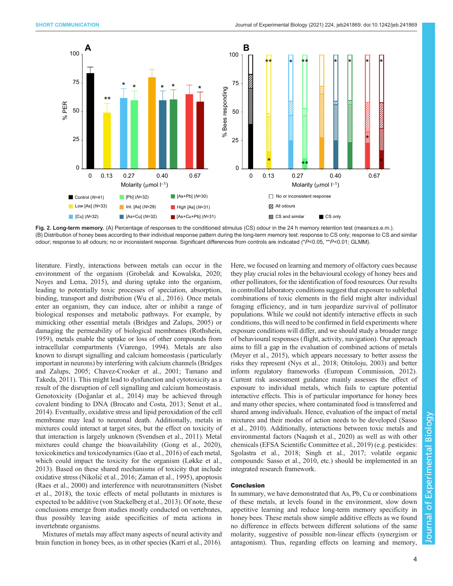<span id="page-3-0"></span>

Fig. 2. Long-term memory. (A) Percentage of responses to the conditioned stimulus (CS) odour in the 24 h memory retention test (means±s.e.m.). (B) Distribution of honey bees according to their individual response pattern during the long-term memory test: response to CS only; response to CS and similar odour; response to all odours; no or inconsistent response. Significant differences from controls are indicated (\*P<0.05, \*\*P<0.01; GLMM).

literature. Firstly, interactions between metals can occur in the environment of the organism [\(Grobelak and Kowalska, 2020](#page-4-0); [Noyes and Lema, 2015\)](#page-5-0), and during uptake into the organism, leading to potentially toxic processes of speciation, absorption, binding, transport and distribution [\(Wu et al., 2016](#page-5-0)). Once metals enter an organism, they can induce, alter or inhibit a range of biological responses and metabolic pathways. For example, by mimicking other essential metals [\(Bridges and Zalups, 2005](#page-4-0)) or damaging the permeability of biological membranes [\(Rothshein,](#page-5-0) [1959](#page-5-0)), metals enable the uptake or loss of other compounds from intracellular compartments [\(Viarengo, 1994\)](#page-5-0). Metals are also known to disrupt signalling and calcium homeostasis ( particularly important in neurons) by interfering with calcium channels ([Bridges](#page-4-0) [and Zalups, 2005; Chavez-Crooker et al., 2001](#page-4-0); [Tamano and](#page-5-0) [Takeda, 2011\)](#page-5-0). This might lead to dysfunction and cytotoxicity as a result of the disruption of cell signalling and calcium homeostasis. Genotoxicity (Doğ [anlar et al., 2014](#page-4-0)) may be achieved through covalent binding to DNA ([Brocato and Costa, 2013;](#page-4-0) [Senut et al.,](#page-5-0) [2014](#page-5-0)). Eventually, oxidative stress and lipid peroxidation of the cell membrane may lead to neuronal death. Additionally, metals in mixtures could interact at target sites, but the effect on toxicity of that interaction is largely unknown [\(Svendsen et al., 2011\)](#page-5-0). Metal mixtures could change the bioavailability ([Gong et al., 2020\)](#page-4-0), toxicokinetics and toxicodynamics ([Gao et al., 2016\)](#page-4-0) of each metal, which could impact the toxicity for the organism ([Løkke et al.,](#page-5-0) [2013](#page-5-0)). Based on these shared mechanisms of toxicity that include oxidative stress (Nikolić[et al., 2016](#page-5-0); [Zaman et al., 1995\)](#page-5-0), apoptosis [\(Raes et al., 2000](#page-5-0)) and interference with neurotransmitters [\(Nisbet](#page-5-0) [et al., 2018\)](#page-5-0), the toxic effects of metal pollutants in mixtures is expected to be additive [\(von Stackelberg et al., 2013](#page-5-0)). Of note, these conclusions emerge from studies mostly conducted on vertebrates, thus possibly leaving aside specificities of meta actions in invertebrate organisms.

Mixtures of metals may affect many aspects of neural activity and brain function in honey bees, as in other species [\(Karri et al., 2016\)](#page-4-0). Here, we focused on learning and memory of olfactory cues because they play crucial roles in the behavioural ecology of honey bees and other pollinators, for the identification of food resources. Our results in controlled laboratory conditions suggest that exposure to sublethal combinations of toxic elements in the field might alter individual foraging efficiency, and in turn jeopardize survival of pollinator populations. While we could not identify interactive effects in such conditions, this will need to be confirmed in field experiments where exposure conditions will differ, and we should study a broader range of behavioural responses (flight, activity, navigation). Our approach aims to fill a gap in the evaluation of combined actions of metals [\(Meyer et al., 2015\)](#page-5-0), which appears necessary to better assess the risks they represent ([Nys et al., 2018](#page-5-0); [Otitoloju, 2003](#page-5-0)) and better inform regulatory frameworks ([European Commission, 2012\)](#page-4-0). Current risk assessment guidance mainly assesses the effect of exposure to individual metals, which fails to capture potential interactive effects. This is of particular importance for honey bees and many other species, where contaminated food is transferred and shared among individuals. Hence, evaluation of the impact of metal mixtures and their modes of action needs to be developed ([Sasso](#page-5-0) [et al., 2010](#page-5-0)). Additionally, interactions between toxic metals and environmental factors ([Naqash et al., 2020](#page-5-0)) as well as with other chemicals [\(EFSA Scientific Committee et al., 2019](#page-4-0)) (e.g. pesticides: [Sgolastra et al., 2018; Singh et al., 2017](#page-5-0); volatile organic compounds: [Sasso et al., 2010](#page-5-0), etc.) should be implemented in an integrated research framework.

## Conclusion

In summary, we have demonstrated that As, Pb, Cu or combinations of these metals, at levels found in the environment, slow down appetitive learning and reduce long-term memory specificity in honey bees. These metals show simple additive effects as we found no difference in effects between different solutions of the same molarity, suggestive of possible non-linear effects (synergism or antagonism). Thus, regarding effects on learning and memory,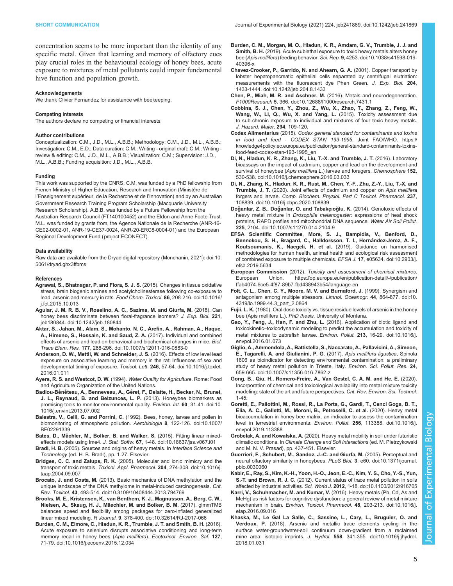<span id="page-4-0"></span>concentration seems to be more important than the identity of any specific metal. Given that learning and memory of olfactory cues play crucial roles in the behavioural ecology of honey bees, acute exposure to mixtures of metal pollutants could impair fundamental hive function and population growth.

#### Acknowledgements

We thank Olivier Fernandez for assistance with beekeeping.

#### Competing interests

The authors declare no competing or financial interests.

#### Author contributions

Conceptualization: C.M., J.D., M.L., A.B.B.; Methodology: C.M., J.D., M.L., A.B.B.; Investigation: C.M., E.D.; Data curation: C.M.; Writing - original draft: C.M.; Writing review & editing: C.M., J.D., M.L., A.B.B.; Visualization: C.M.; Supervision: J.D., M.L., A.B.B.; Funding acquisition: J.D., M.L., A.B.B.

#### Funding

This work was supported by the CNRS. C.M. was funded by a PhD fellowship from French Ministry of Higher Education, Research and Innovation (Ministère de l'Enseignement supérieur, de la Recherche et de l'Innovation) and by an Australian Government Research Training Program Scholarship (Macquarie University Research Scholarship). A.B.B. was funded by a Future Fellowship from the Australian Research Council (FT140100452) and the Eldon and Anne Foote Trust. M.L. was funded by grants from, the Agence Nationale de la Recherche (ANR-16- CE02-0002-01, ANR-19-CE37-0024, ANR-20-ERC8-0004-01) and the European Regional Development Fund (project ECONECT).

#### Data availability

Raw data are available from the Dryad digital repository [\(Monchanin, 2021](#page-5-0)): [doi:10.](https://doi.org/10.5061/dryad.ghx3ffbms) [5061/dryad.ghx3ffbms](https://doi.org/10.5061/dryad.ghx3ffbms)

#### References

- [Agrawal, S., Bhatnagar, P. and Flora, S. J. S.](https://doi.org/10.1016/j.fct.2015.10.013) (2015). Changes in tissue oxidative [stress, brain biogenic amines and acetylcholinesterase following co-exposure to](https://doi.org/10.1016/j.fct.2015.10.013) [lead, arsenic and mercury in rats.](https://doi.org/10.1016/j.fct.2015.10.013) Food Chem. Toxicol. 86, 208-216. doi:10.1016/ [j.fct.2015.10.013](https://doi.org/10.1016/j.fct.2015.10.013)
- [Aguiar, J. M. R. B. V., Roselino, A. C., Sazima, M. and Giurfa, M.](https://doi.org/10.1242/jeb.180844) (2018). Can [honey bees discriminate between floral-fragrance isomers?](https://doi.org/10.1242/jeb.180844) J. Exp. Biol. 221, [jeb180844. doi:10.1242/jeb.180844](https://doi.org/10.1242/jeb.180844)
- [Aktar, S., Jahan, M., Alam, S., Mohanto, N. C., Arefin, A., Rahman, A., Haque,](https://doi.org/10.1007/s12011-016-0883-0) [A., Himeno, S., Hossain, K. and Saud, Z. A.](https://doi.org/10.1007/s12011-016-0883-0) (2017). Individual and combined [effects of arsenic and lead on behavioral and biochemical changes in mice.](https://doi.org/10.1007/s12011-016-0883-0) Biol. Trace Elem. Res. 177[, 288-296. doi:10.1007/s12011-016-0883-0](https://doi.org/10.1007/s12011-016-0883-0)
- [Anderson, D. W., Mettil, W. and Schneider, J. S.](https://doi.org/10.1016/j.toxlet.2016.01.011) (2016). Effects of low level lead [exposure on associative learning and memory in the rat: Influences of sex and](https://doi.org/10.1016/j.toxlet.2016.01.011) [developmental timing of exposure.](https://doi.org/10.1016/j.toxlet.2016.01.011) Toxicol. Lett. 246, 57-64. doi:10.1016/j.toxlet. [2016.01.011](https://doi.org/10.1016/j.toxlet.2016.01.011)
- Ayers, R. S. and Westcot, D. W. (1994). Water Quality for Agriculture. Rome: Food and Agriculture Organization of the United Nations.
- Badiou-Bénéteau, A., Benneveau, A., Gé[ret, F., Delatte, H., Becker, N., Brunet,](https://doi.org/10.1016/j.envint.2013.07.002) [J. L., Reynaud, B. and Belzunces, L. P.](https://doi.org/10.1016/j.envint.2013.07.002) (2013). Honeybee biomarkers as [promising tools to monitor environmental quality.](https://doi.org/10.1016/j.envint.2013.07.002) Environ. Int. 60, 31-41. doi:10. [1016/j.envint.2013.07.002](https://doi.org/10.1016/j.envint.2013.07.002)
- Balestra, V., Celli, G. and Porrini, C. [\(1992\). Bees, honey, larvae and pollen in](https://doi.org/10.1007/BF02291339) [biomonitoring of atmospheric pollution.](https://doi.org/10.1007/BF02291339) Aerobiologia 8, 122-126. doi:10.1007/ [BF02291339](https://doi.org/10.1007/BF02291339)
- Bates, D., Mä[chler, M., Bolker, B. and Walker, S.](https://doi.org/10.18637/jss.v067.i01) (2015). Fitting linear mixedeffects models using lme4. J. Stat. Softw. 67[, 1-48. doi:10.18637/jss.v067.i01](https://doi.org/10.18637/jss.v067.i01)
- Bradl, H. B. (2005). Sources and origins of heavy metals. In Interface Science and Technology (ed. H. B. Bradl), pp. 1-27. Elsevier.
- Bridges, C. C. and Zalups, R. K. [\(2005\). Molecular and ionic mimicry and the](https://doi.org/10.1016/j.taap.2004.09.007) transport of toxic metals. [Toxicol. Appl. Pharmacol.](https://doi.org/10.1016/j.taap.2004.09.007) 204, 274-308. doi:10.1016/j. [taap.2004.09.007](https://doi.org/10.1016/j.taap.2004.09.007)
- Brocato, J. and Costa, M. [\(2013\). Basic mechanics of DNA methylation and the](https://doi.org/10.3109/10408444.2013.794769) [unique landscape of the DNA methylome in metal-induced carcinogenesis.](https://doi.org/10.3109/10408444.2013.794769) Crit. Rev. Toxicol. 43[, 493-514. doi:10.3109/10408444.2013.794769](https://doi.org/10.3109/10408444.2013.794769)
- [Brooks, M. E., Kristensen, K., van Benthem, K. J., Magnusson, A., Berg, C. W.,](https://doi.org/10.32614/RJ-2017-066) [Nielsen, A., Skaug, H. J., Ma](https://doi.org/10.32614/RJ-2017-066)̈echler, M. and Bolker, B. M. (2017). glmmTMB [balances speed and flexibility among packages for zero-inflated generalized](https://doi.org/10.32614/RJ-2017-066) linear mixed modeling. R Journal. 9[, 378-400. doi:10.32614/RJ-2017-066](https://doi.org/10.32614/RJ-2017-066)
- [Burden, C. M., Elmore, C., Hladun, K. R., Trumble, J. T. and Smith, B. H.](https://doi.org/10.1016/j.ecoenv.2015.12.034) (2016). [Acute exposure to selenium disrupts associative conditioning and long-term](https://doi.org/10.1016/j.ecoenv.2015.12.034) [memory recall in honey bees \(](https://doi.org/10.1016/j.ecoenv.2015.12.034)Apis mellifera). Ecotoxicol. Environ. Saf. 127, [71-79. doi:10.1016/j.ecoenv.2015.12.034](https://doi.org/10.1016/j.ecoenv.2015.12.034)
- [Burden, C. M., Morgan, M. O., Hladun, K. R., Amdam, G. V., Trumble, J. J. and](https://doi.org/10.1038/s41598-019-40396-x) Smith, B. H. [\(2019\). Acute sublethal exposure to toxic heavy metals alters honey](https://doi.org/10.1038/s41598-019-40396-x) bee (Apis mellifera) feeding behavior. Sci. Rep. 9[, 4253. doi:10.1038/s41598-019-](https://doi.org/10.1038/s41598-019-40396-x) [40396-x](https://doi.org/10.1038/s41598-019-40396-x)
- [Chavez-Crooker, P., Garrido, N. and Ahearn, G. A.](https://doi.org/10.1242/jeb.204.8.1433) (2001). Copper transport by [lobster hepatopancreatic epithelial cells separated by centrifugal elutriation:](https://doi.org/10.1242/jeb.204.8.1433) [measurements with the fluorescent dye Phen Green.](https://doi.org/10.1242/jeb.204.8.1433) J. Exp. Biol. 204, [1433-1444. doi:10.1242/jeb.204.8.1433](https://doi.org/10.1242/jeb.204.8.1433)
- [Chen, P., Miah, M. R. and Aschner, M.](https://doi.org/10.12688/f1000research.7431.1) (2016). Metals and neurodegeneration. F1000Research 5[, 366. doi:10.12688/f1000research.7431.1](https://doi.org/10.12688/f1000research.7431.1)
- Cobbina, S. J., Chen, Y., Zhou, Z., Wu, X., Zhao, T., Zhang, Z., Feng, W., Wang, W., Li, Q., Wu, X. and Yang, L. (2015). Toxicity assessment due to sub-chronic exposure to individual and mixtures of four toxic heavy metals. J. Hazard. Mater. 294, 109-120.
- Codex Alimentarius (2015). Codex general standard for contaminants and toxins in food and feed - CODEX STAN 193-1995. Joint FAO/WHO. [https://](https://knowledge4policy.ec.europa.eu/publication/general-standard-contaminants-toxins-food-feed-codex-stan-193-1995_en) [knowledge4policy.ec.europa.eu/publication/general-standard-contaminants-toxins](https://knowledge4policy.ec.europa.eu/publication/general-standard-contaminants-toxins-food-feed-codex-stan-193-1995_en)[food-feed-codex-stan-193-1995\\_en](https://knowledge4policy.ec.europa.eu/publication/general-standard-contaminants-toxins-food-feed-codex-stan-193-1995_en)
- [Di, N., Hladun, K. R., Zhang, K., Liu, T.-X. and Trumble, J. T.](https://doi.org/10.1016/j.chemosphere.2016.03.033) (2016). Laboratory [bioassays on the impact of cadmium, copper and lead on the development and](https://doi.org/10.1016/j.chemosphere.2016.03.033) survival of honeybee (Apis mellifera [L.\) larvae and foragers.](https://doi.org/10.1016/j.chemosphere.2016.03.033) Chemosphere 152, [530-538. doi:10.1016/j.chemosphere.2016.03.033](https://doi.org/10.1016/j.chemosphere.2016.03.033)
- [Di, N., Zhang, K., Hladun, K. R., Rust, M., Chen, Y.-F., Zhu, Z.-Y., Liu, T.-X. and](https://doi.org/10.1016/j.cbpc.2020.108839) Trumble, J. T. [\(2020\). Joint effects of cadmium and copper on](https://doi.org/10.1016/j.cbpc.2020.108839) Apis mellifera forgers and larvae. [Comp. Biochem. Physiol. Part C Toxicol. Pharmacol.](https://doi.org/10.1016/j.cbpc.2020.108839) 237, [108839. doi:10.1016/j.cbpc.2020.108839](https://doi.org/10.1016/j.cbpc.2020.108839)
- Doğanlar, Z. B., Doğanlar, O. and Tabakçıoğlu, K. [\(2014\). Genotoxic effects of](https://doi.org/10.1007/s11270-014-2104-9) heavy metal mixture in *Drosophila melanogaster*[: expressions of heat shock](https://doi.org/10.1007/s11270-014-2104-9) [proteins, RAPD profiles and mitochondrial DNA sequence.](https://doi.org/10.1007/s11270-014-2104-9) Water Air Soil Pollut. 225[, 2104. doi:10.1007/s11270-014-2104-9](https://doi.org/10.1007/s11270-014-2104-9)
- EFSA Scientific Committee, [More, S. J., Bampidis, V., Benford, D.,](https://doi.org/10.2903/j.efsa.2019.5634) Bennekou, S. H., Bragard, C., Halldorsson, T. I., Hernández-Jerez, A. F., [Koutsoumanis, K., Naegeli, H. et al.](https://doi.org/10.2903/j.efsa.2019.5634) (2019). Guidance on harmonised [methodologies for human health, animal health and ecological risk assessment](https://doi.org/10.2903/j.efsa.2019.5634) [of combined exposure to multiple chemicals.](https://doi.org/10.2903/j.efsa.2019.5634) EFSA J. 17, e05634. doi:10.2903/j. [efsa.2019.5634](https://doi.org/10.2903/j.efsa.2019.5634)
- European Commission (2012). Toxicity and assessment of chemical mixtures. European Union. [https://op.europa.eu/en/publication-detail/-/publication/](https://op.europa.eu/en/publication-detail/-/publication/ffab4074-6ce5-4f87-89b7-fbd438943b54/language-en) [ffab4074-6ce5-4f87-89b7-fbd438943b54/language-en](https://op.europa.eu/en/publication-detail/-/publication/ffab4074-6ce5-4f87-89b7-fbd438943b54/language-en)
- [Folt, C. L., Chen, C. Y., Moore, M. V. and Burnaford, J.](https://doi.org/10.4319/lo.1999.44.3_part_2.0864) (1999). Synergism and [antagonism among multiple stressors.](https://doi.org/10.4319/lo.1999.44.3_part_2.0864) Limnol. Oceanogr. 44, 864-877. doi:10. [4319/lo.1999.44.3\\_part\\_2.0864](https://doi.org/10.4319/lo.1999.44.3_part_2.0864)
- Fujii, L. K. (1980). Oral dose toxicity vs. tissue residue levels of arsenic in the honey bee (Apis mellifera L.). PhD thesis, University of Montana.
- [Gao, Y., Feng, J., Han, F. and Zhu, L.](https://doi.org/10.1016/j.envpol.2016.01.073) (2016). Application of biotic ligand and toxicokinetic–[toxicodynamic modeling to predict the accumulation and toxicity of](https://doi.org/10.1016/j.envpol.2016.01.073) [metal mixtures to zebrafish larvae.](https://doi.org/10.1016/j.envpol.2016.01.073) Environ. Pollut. 213, 16-29. doi:10.1016/j. [envpol.2016.01.073](https://doi.org/10.1016/j.envpol.2016.01.073)
- [Giglio, A., Ammendola, A., Battistella, S., Naccarato, A., Pallavicini, A., Simeon,](https://doi.org/10.1007/s11356-016-7862-z) [E., Tagarelli, A. and Giulianini, P. G.](https://doi.org/10.1007/s11356-016-7862-z) (2017). Apis mellifera ligustica, Spinola [1806 as bioindicator for detecting environmental contamination: a preliminary](https://doi.org/10.1007/s11356-016-7862-z) [study of heavy metal pollution in Trieste, Italy.](https://doi.org/10.1007/s11356-016-7862-z) Environ. Sci. Pollut. Res. 24, [659-665. doi:10.1007/s11356-016-7862-z](https://doi.org/10.1007/s11356-016-7862-z)
- Gong, B., Qiu, H., Romero-Freire, A., Van Gestel, C. A. M. and He, E. (2020). Incorporation of chemical and toxicological availability into metal mixture toxicity modeling: state of the art and future perspectives. Crit. Rev. Environ. Sci. Technol. 1-45.
- [Goretti, E., Pallottini, M., Rossi, R., La Porta, G., Gardi, T., Cenci Goga, B. T.,](https://doi.org/10.1016/j.envpol.2019.113388) [Elia, A. C., Galletti, M., Moroni, B., Petroselli, C. et al.](https://doi.org/10.1016/j.envpol.2019.113388) (2020). Heavy metal [bioaccumulation in honey bee matrix, an indicator to assess the contamination](https://doi.org/10.1016/j.envpol.2019.113388) [level in terrestrial environments.](https://doi.org/10.1016/j.envpol.2019.113388) Environ. Pollut. 256, 113388. doi:10.1016/j. [envpol.2019.113388](https://doi.org/10.1016/j.envpol.2019.113388)
- Grobelak, A. and Kowalska, A. (2020). Heavy metal mobility in soil under futuristic climatic conditions. In Climate Change and Soil Interactions (ed. M. Pietrzykowski and M. N. V. Prasad), pp. 437-451. Elsevier.
- [Guerrieri, F., Schubert, M., Sandoz, J.-C. and Giurfa, M.](https://doi.org/10.1371/journal.pbio.0030060) (2005). Perceptual and [neural olfactory similarity in honeybees.](https://doi.org/10.1371/journal.pbio.0030060) PLoS Biol. 3, e60. doi:10.1371/journal. [pbio.0030060](https://doi.org/10.1371/journal.pbio.0030060)
- [Kabir, E., Ray, S., Kim, K.-H., Yoon, H.-O., Jeon, E.-C., Kim, Y. S., Cho, Y.-S., Yun,](https://doi.org/10.1100/2012/916705) S.-T. and Brown, R. J. C. [\(2012\). Current status of trace metal pollution in soils](https://doi.org/10.1100/2012/916705) affected by industrial activities. Sci. World J. 2012[, 1-18. doi:10.1100/2012/916705](https://doi.org/10.1100/2012/916705)
- [Karri, V., Schuhmacher, M. and Kumar, V.](https://doi.org/10.1016/j.etap.2016.09.016) (2016). Heavy metals (Pb, Cd, As and [MeHg\) as risk factors for cognitive dysfunction: a general review of metal mixture](https://doi.org/10.1016/j.etap.2016.09.016) mechanism in brain. [Environ. Toxicol. Pharmacol.](https://doi.org/10.1016/j.etap.2016.09.016) 48, 203-213. doi:10.1016/j. [etap.2016.09.016](https://doi.org/10.1016/j.etap.2016.09.016)
- [Khaska, M., Le Gal La Salle, C., Sassine, L., Cary, L., Bruguier, O. and](https://doi.org/10.1016/j.jhydrol.2018.01.031) Verdoux, P. [\(2018\). Arsenic and metallic trace elements cycling in the](https://doi.org/10.1016/j.jhydrol.2018.01.031) [surface water-groundwater-soil continuum down-gradient from a reclaimed](https://doi.org/10.1016/j.jhydrol.2018.01.031) mine area: isotopic imprints. J. Hydrol. 558[, 341-355. doi:10.1016/j.jhydrol.](https://doi.org/10.1016/j.jhydrol.2018.01.031) [2018.01.031](https://doi.org/10.1016/j.jhydrol.2018.01.031)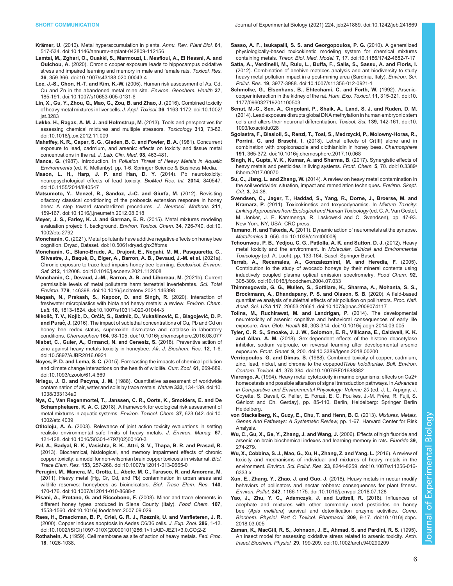- <span id="page-5-0"></span>Krämer, U. [\(2010\). Metal hyperaccumulation in plants.](https://doi.org/10.1146/annurev-arplant-042809-112156) Annu. Rev. Plant Biol. 61, [517-534. doi:10.1146/annurev-arplant-042809-112156](https://doi.org/10.1146/annurev-arplant-042809-112156)
- [Lamtai, M., Zghari, O., Ouakki, S., Marmouzi, I., Mesfioui, A., El Hessni, A. and](https://doi.org/10.1007/s43188-020-00043-4) Ouichou, A. [\(2020\). Chronic copper exposure leads to hippocampus oxidative](https://doi.org/10.1007/s43188-020-00043-4) [stress and impaired learning and memory in male and female rats.](https://doi.org/10.1007/s43188-020-00043-4) Toxicol. Res. 36[, 359-366. doi:10.1007/s43188-020-00043-4](https://doi.org/10.1007/s43188-020-00043-4)
- Lee, J.-S., Chon, H.-T. and Kim, K.-W. [\(2005\). Human risk assessment of As, Cd,](https://doi.org/10.1007/s10653-005-0131-6) [Cu and Zn in the abandoned metal mine site.](https://doi.org/10.1007/s10653-005-0131-6) Environ. Geochem. Health 27. [185-191. doi:10.1007/s10653-005-0131-6](https://doi.org/10.1007/s10653-005-0131-6)
- [Lin, X., Gu, Y., Zhou, Q., Mao, G., Zou, B. and Zhao, J.](https://doi.org/10.1002/jat.3283) (2016). Combined toxicity [of heavy metal mixtures in liver cells.](https://doi.org/10.1002/jat.3283) J. Appl. Toxicol. 36, 1163-1172. doi:10.1002/ [jat.3283](https://doi.org/10.1002/jat.3283)
- [Løkke, H., Ragas, A. M. J. and Holmstrup, M.](https://doi.org/10.1016/j.tox.2012.11.009) (2013). Tools and perspectives for [assessing chemical mixtures and multiple stressors.](https://doi.org/10.1016/j.tox.2012.11.009) Toxicology 313, 73-82. [doi:10.1016/j.tox.2012.11.009](https://doi.org/10.1016/j.tox.2012.11.009)
- Mahaffey, K. R., Capar, S. G., Gladen, B. C. and Fowler, B. A. (1981). Concurrent exposure to lead, cadmium, and arsenic: effects on toxicity and tissue metal concentrations in the rat. J. Lab. Clin. Med. 98, 463-481.
- Mance, G. (1987). Introduction. In Pollution Threat of Heavy Metals in Aquatic Environments (ed. K. Mellanby), pp. 1-6. Springer Science & Business Media.
- [Mason, L. H., Harp, J. P. and Han, D. Y.](https://doi.org/10.1155/2014/840547) (2014). Pb neurotoxicity: [neuropsychological effects of lead toxicity.](https://doi.org/10.1155/2014/840547) BioMed Res. Int. 2014, 840547. [doi:10.1155/2014/840547](https://doi.org/10.1155/2014/840547)
- [Matsumoto, Y., Menzel, R., Sandoz, J.-C. and Giurfa, M.](https://doi.org/10.1016/j.jneumeth.2012.08.018) (2012). Revisiting [olfactory classical conditioning of the proboscis extension response in honey](https://doi.org/10.1016/j.jneumeth.2012.08.018) [bees: A step toward standardized procedures.](https://doi.org/10.1016/j.jneumeth.2012.08.018) J. Neurosci. Methods 211, [159-167. doi:10.1016/j.jneumeth.2012.08.018](https://doi.org/10.1016/j.jneumeth.2012.08.018)
- [Meyer, J. S., Farley, K. J. and Garman, E. R.](https://doi.org/10.1002/etc.2792) (2015). Metal mixtures modeling [evaluation project: 1. background.](https://doi.org/10.1002/etc.2792) Environ. Toxicol. Chem. 34, 726-740. doi:10. [1002/etc.2792](https://doi.org/10.1002/etc.2792)
- Monchanin, C. [\(2021\). Metal pollutants have additive negative effects on honey bee](https://doi.org/10.5061/dryad.ghx3ffbms) [cognition. Dryad, Dataset. doi:10.5061/dryad.ghx3ffbms](https://doi.org/10.5061/dryad.ghx3ffbms)
- [Monchanin, C., Blanc-Brude, A., Drujont, E., Negahi, M. M., Pasquaretta, C.,](https://doi.org/10.1016/j.ecoenv.2021.112008) Silvestre, J., Baqué[, D., Elger, A., Barron, A. B., Devaud, J.-M. et al.](https://doi.org/10.1016/j.ecoenv.2021.112008) (2021a). [Chronic exposure to trace lead impairs honey bee learning.](https://doi.org/10.1016/j.ecoenv.2021.112008) Ecotoxicol. Environ. Saf. 212[, 112008. doi:10.1016/j.ecoenv.2021.112008](https://doi.org/10.1016/j.ecoenv.2021.112008)
- [Monchanin, C., Devaud, J.-M., Barron, A. B. and Lihoreau, M.](https://doi.org/10.1016/j.scitotenv.2021.146398) (2021b). Current [permissible levels of metal pollutants harm terrestrial invertebrates.](https://doi.org/10.1016/j.scitotenv.2021.146398) Sci. Total Environ. 779[, 146398. doi:10.1016/j.scitotenv.2021.146398](https://doi.org/10.1016/j.scitotenv.2021.146398)
- [Naqash, N., Prakash, S., Kapoor, D. and Singh, R.](https://doi.org/10.1007/s10311-020-01044-3) (2020). Interaction of [freshwater microplastics with biota and heavy metals: a review.](https://doi.org/10.1007/s10311-020-01044-3) Environ. Chem. Lett. 18[, 1813-1824. doi:10.1007/s10311-020-01044-3](https://doi.org/10.1007/s10311-020-01044-3)
- Nikolić, T. V., Kojić, D., Orčić, S., Batinić, D., Vukašinović, E., Blagojević, D. P. and Purac<sup>c</sup>, J. [\(2016\). The impact of sublethal concentrations of Cu, Pb and Cd on](https://doi.org/10.1016/j.chemosphere.2016.08.077) [honey bee redox status, superoxide dismutase and catalase in laboratory](https://doi.org/10.1016/j.chemosphere.2016.08.077) conditions. Chemosphere 164[, 98-105. doi:10.1016/j.chemosphere.2016.08.077](https://doi.org/10.1016/j.chemosphere.2016.08.077)
- [Nisbet, C., Guler, A., Ormanci, N. and Cenesiz, S.](https://doi.org/10.5897/AJBR2016.0921) (2018). Preventive action of [zinc against heavy metals toxicity in honeybee.](https://doi.org/10.5897/AJBR2016.0921) Afr. J. Biochem. Res. 12, 1-6. [doi:10.5897/AJBR2016.0921](https://doi.org/10.5897/AJBR2016.0921)
- Noyes, P. D. and Lema, S. C. [\(2015\). Forecasting the impacts of chemical pollution](https://doi.org/10.1093/czoolo/61.4.669) [and climate change interactions on the health of wildlife.](https://doi.org/10.1093/czoolo/61.4.669) Curr. Zool. 61, 669-689. [doi:10.1093/czoolo/61.4.669](https://doi.org/10.1093/czoolo/61.4.669)
- Nriagu, J. O. and Pacyna, J. M. [\(1988\). Quantitative assessment of worldwide](https://doi.org/10.1038/333134a0) [contamination of air, water and soils by trace metals.](https://doi.org/10.1038/333134a0) Nature 333, 134-139. doi:10. [1038/333134a0](https://doi.org/10.1038/333134a0)
- [Nys, C., Van Regenmortel, T., Janssen, C. R., Oorts, K., Smolders, E. and De](https://doi.org/10.1002/etc.4039) Schamphelaere, K. A. C. [\(2018\). A framework for ecological risk assessment of](https://doi.org/10.1002/etc.4039) [metal mixtures in aquatic systems.](https://doi.org/10.1002/etc.4039) Environ. Toxicol. Chem. 37, 623-642. doi:10. [1002/etc.4039](https://doi.org/10.1002/etc.4039)
- Otitoloju, A. A. [\(2003\). Relevance of joint action toxicity evaluations in setting](https://doi.org/10.1016/S0301-4797(02)00160-3) [realistic environmental safe limits of heavy metals.](https://doi.org/10.1016/S0301-4797(02)00160-3) J. Environ. Manag. 67, [121-128. doi:10.1016/S0301-4797\(02\)00160-3](https://doi.org/10.1016/S0301-4797(02)00160-3)
- [Pal, A., Badyal, R. K., Vasishta, R. K., Attri, S. V., Thapa, B. R. and Prasad, R.](https://doi.org/10.1007/s12011-013-9665-0) [\(2013\). Biochemical, histological, and memory impairment effects of chronic](https://doi.org/10.1007/s12011-013-9665-0) [copper toxicity: a model for non-wilsonian brain copper toxicosis in wistar rat.](https://doi.org/10.1007/s12011-013-9665-0) Biol. Trace Elem. Res. 153[, 257-268. doi:10.1007/s12011-013-9665-0](https://doi.org/10.1007/s12011-013-9665-0)
- [Perugini, M., Manera, M., Grotta, L., Abete, M. C., Tarasco, R. and Amorena, M.](https://doi.org/10.1007/s12011-010-8688-z) [\(2011\). Heavy metal \(Hg, Cr, Cd, and Pb\) contamination in urban areas and](https://doi.org/10.1007/s12011-010-8688-z) [wildlife reserves: honeybees as bioindicators.](https://doi.org/10.1007/s12011-010-8688-z) Biol. Trace Elem. Res. 140, [170-176. doi:10.1007/s12011-010-8688-z](https://doi.org/10.1007/s12011-010-8688-z)
- [Pisani, A., Protano, G. and Riccobono, F.](https://doi.org/10.1016/j.foodchem.2007.09.029) (2008). Minor and trace elements in [different honey types produced in Siena County \(Italy\).](https://doi.org/10.1016/j.foodchem.2007.09.029) Food Chem. 107, [1553-1560. doi:10.1016/j.foodchem.2007.09.029](https://doi.org/10.1016/j.foodchem.2007.09.029)
- [Raes, H., Braeckman, B. P., Criel, G. R. J., Rzeznik, U. and Vanfleteren, J. R.](https://doi.org/10.1002/(SICI)1097-010X(20000101)286:1%3C1::AID-JEZ1%3E3.0.CO;2-Z) [\(2000\). Copper induces apoptosis in Aedes C6/36 cells.](https://doi.org/10.1002/(SICI)1097-010X(20000101)286:1%3C1::AID-JEZ1%3E3.0.CO;2-Z) J. Exp. Zool. 286, 1-12. [doi:10.1002/\(SICI\)1097-010X\(20000101\)286:1<1::AID-JEZ1>3.0.CO;2-Z](https://doi.org/10.1002/(SICI)1097-010X(20000101)286:1%3C1::AID-JEZ1%3E3.0.CO;2-Z)
- Rothshein, A. (1959). Cell membrane as site of action of heavy metals. Fed. Proc. 18, 1026-1038.
- [Sasso, A. F., Isukapalli, S. S. and Georgopoulos, P. G.](https://doi.org/10.1186/1742-4682-7-17) (2010). A generalized [physiologically-based toxicokinetic modeling system for chemical mixtures](https://doi.org/10.1186/1742-4682-7-17) containing metals. Theor. Biol. Med. Model. 7[, 17. doi:10.1186/1742-4682-7-17](https://doi.org/10.1186/1742-4682-7-17)
- [Satta, A., Verdinelli, M., Ruiu, L., Buffa, F., Salis, S., Sassu, A. and Floris, I.](https://doi.org/10.1007/s11356-012-0921-1) [\(2012\). Combination of beehive matrices analysis and ant biodiversity to study](https://doi.org/10.1007/s11356-012-0921-1) [heavy metal pollution impact in a post-mining area \(Sardinia, Italy\).](https://doi.org/10.1007/s11356-012-0921-1) *Environ. Sci.* Pollut. Res. 19[, 3977-3988. doi:10.1007/s11356-012-0921-1](https://doi.org/10.1007/s11356-012-0921-1)
- [Schmolke, G., Elsenhans, B., Ehtechami, C. and Forth, W.](https://doi.org/10.1177/096032719201100503) (1992). Arsenic[copper interaction in the kidney of the rat.](https://doi.org/10.1177/096032719201100503) Hum. Exp. Toxicol. 11, 315-321. doi:10. [1177/096032719201100503](https://doi.org/10.1177/096032719201100503)
- [Senut, M.-C., Sen, A., Cingolani, P., Shaik, A., Land, S. J. and Ruden, D. M.](https://doi.org/10.1093/toxsci/kfu028) [\(2014\). Lead exposure disrupts global DNA methylation in human embryonic stem](https://doi.org/10.1093/toxsci/kfu028) [cells and alters their neuronal differentiation.](https://doi.org/10.1093/toxsci/kfu028) Toxicol. Sci. 139, 142-161. doi:10. [1093/toxsci/kfu028](https://doi.org/10.1093/toxsci/kfu028)
- [Sgolastra, F., Blasioli, S., Renzi, T., Tosi, S., Medrzycki, P., Molowny-Horas, R.,](https://doi.org/10.1016/j.chemosphere.2017.10.068) Porrini, C. and Braschi, I. [\(2018\). Lethal effects of Cr\(III\) alone and in](https://doi.org/10.1016/j.chemosphere.2017.10.068) [combination with propiconazole and clothianidin in honey bees.](https://doi.org/10.1016/j.chemosphere.2017.10.068) Chemosphere 191[, 365-372. doi:10.1016/j.chemosphere.2017.10.068](https://doi.org/10.1016/j.chemosphere.2017.10.068)
- [Singh, N., Gupta, V. K., Kumar, A. and Sharma, B.](https://doi.org/10.3389/fchem.2017.00070) (2017). Synergistic effects of [heavy metals and pesticides in living systems.](https://doi.org/10.3389/fchem.2017.00070) Front. Chem. 5, 70. doi:10.3389/ [fchem.2017.00070](https://doi.org/10.3389/fchem.2017.00070)
- Su, C., Jiang, L. and Zhang, W. (2014). A review on heavy metal contamination in the soil worldwide: situation, impact and remediation techniques. Environ. Skept. Crit. 3, 24-38.
- Svendsen, C., Jager, T., Haddad, S., Yang, R., Dorne, J., Broerse, M. and Kramarz, P. (2011). Toxicokinetics and toxycodynamics. In Mixture Toxicity: Linking Approaches from Ecological and Human Toxicology (ed. C. A. Van Gestel, M. Jonker, J. E. Kammenga, R. Laskowski and C. Svendsen), pp. 47-93. New York, NY, USA: CRC press.
- Tamano, H. and Takeda, A. [\(2011\). Dynamic action of neurometals at the synapse.](https://doi.org/10.1039/c1mt00008j) Metallomics 3[, 656. doi:10.1039/c1mt00008j](https://doi.org/10.1039/c1mt00008j)
- Tchounwou, P. B., Yedjou, C. G., Patlolla, A. K. and Sutton, D. J. (2012). Heavy metal toxicity and the environment. In Molecular, Clinical and Environmental Toxicology (ed. A. Luch), pp. 133-164. Basel: Springer Basel.
- [Terrab, A., Recamales, A., Gonzalezmiret, M. and Heredia, F.](https://doi.org/10.1016/j.foodchem.2004.07.033) (2005). [Contribution to the study of avocado honeys by their mineral contents using](https://doi.org/10.1016/j.foodchem.2004.07.033) [inductively coupled plasma optical emission spectrometry.](https://doi.org/10.1016/j.foodchem.2004.07.033) Food Chem. 92, [305-309. doi:10.1016/j.foodchem.2004.07.033](https://doi.org/10.1016/j.foodchem.2004.07.033)
- [Thimmegowda, G. G., Mullen, S., Sottilare, K., Sharma, A., Mohanta, S. S.,](https://doi.org/10.1073/pnas.2009074117) [Brockmann, A., Dhandapany, P. S. and Olsson, S. B.](https://doi.org/10.1073/pnas.2009074117) (2020). A field-based [quantitative analysis of sublethal effects of air pollution on pollinators.](https://doi.org/10.1073/pnas.2009074117) Proc. Natl. Acad. Sci. USA 117[, 20653-20661. doi:10.1073/pnas.2009074117](https://doi.org/10.1073/pnas.2009074117)
- [Tolins, M., Ruchirawat, M. and Landrigan, P.](https://doi.org/10.1016/j.aogh.2014.09.005) (2014). The developmental [neurotoxicity of arsenic: cognitive and behavioral consequences of early life](https://doi.org/10.1016/j.aogh.2014.09.005) exposure. Ann. Glob. Health 80[, 303-314. doi:10.1016/j.aogh.2014.09.005](https://doi.org/10.1016/j.aogh.2014.09.005)
- [Tyler, C. R. S., Smoake, J. J. W., Solomon, E. R., Villicana, E., Caldwell, K. K.](https://doi.org/10.3389/fgene.2018.00200) and Allan, A. M. [\(2018\). Sex-dependent effects of the histone deacetylase](https://doi.org/10.3389/fgene.2018.00200) [inhibitor, sodium valproate, on reversal learning after developmental arsenic](https://doi.org/10.3389/fgene.2018.00200) exposure. Front. Genet. 9[, 200. doi:10.3389/fgene.2018.00200](https://doi.org/10.3389/fgene.2018.00200)
- Verriopoulos, G. and Dimas, S. [\(1988\). Combined toxicity of copper, cadmium,](https://doi.org/10.1007/BF01688882) [zinc, lead, nickel, and chrome to the copepod](https://doi.org/10.1007/BF01688882) Tisbe holothuriae. Bull. Environ. Contam. Toxicol. 41[, 378-384. doi:10.1007/BF01688882](https://doi.org/10.1007/BF01688882)
- Viarengo, A. (1994). Heavy metal cytotoxicity in marine organisms: effects on Ca2+ homeostasis and possible alteration of signal transduction pathways. In Advances in Comparative and Environmental Physiology: Volume 20 (ed. J. L. Arpigny, J. Coyette, S. Davail, G. Feller, E. Fonzé, E. C. Foulkes, J.-M. Frère, R. Fujii, S. Génicot and Ch. Gerday), pp. 85-110. Berlin, Heidelberg: Springer Berlin Heidelberg.
- von Stackelberg, K., Guzy, E., Chu, T. and Henn, B. C. (2013). Mixtures, Metals, Genes And Pathways: A Systematic Review, pp. 1-67. Harvard Center for Risk Analysis.
- Wu, C., Gu, X., Ge, Y., Zhang, J. and Wang, J. (2006). Effects of high fluoride and arsenic on brain biochemical indexes and learning-memory in rats. Fluoride 39, 274-279.
- [Wu, X., Cobbina, S. J., Mao, G., Xu, H., Zhang, Z. and Yang, L.](https://doi.org/10.1007/s11356-016-6333-x) (2016). A review of [toxicity and mechanisms of individual and mixtures of heavy metals in the](https://doi.org/10.1007/s11356-016-6333-x) environment. Environ. Sci. Pollut. Res. 23[, 8244-8259. doi:10.1007/s11356-016-](https://doi.org/10.1007/s11356-016-6333-x) [6333-x](https://doi.org/10.1007/s11356-016-6333-x)
- [Xun, E., Zhang, Y., Zhao, J. and Guo, J.](https://doi.org/10.1016/j.envpol.2018.07.128) (2018). Heavy metals in nectar modify [behaviors of pollinators and nectar robbers: consequences for plant fitness.](https://doi.org/10.1016/j.envpol.2018.07.128) Environ. Pollut. 242[, 1166-1175. doi:10.1016/j.envpol.2018.07.128](https://doi.org/10.1016/j.envpol.2018.07.128)
- [Yao, J., Zhu, Y. C., Adamczyk, J. and Luttrell, R.](https://doi.org/10.1016/j.cbpc.2018.03.005) (2018). Influences of [acephate and mixtures with other commonly used pesticides on honey](https://doi.org/10.1016/j.cbpc.2018.03.005) bee (Apis mellifera[\) survival and detoxification enzyme activities.](https://doi.org/10.1016/j.cbpc.2018.03.005) Comp. [Biochem. Physiol. Part C Toxicol. Pharmacol.](https://doi.org/10.1016/j.cbpc.2018.03.005) 209, 9-17. doi:10.1016/j.cbpc. [2018.03.005](https://doi.org/10.1016/j.cbpc.2018.03.005)
- [Zaman, K., MacGill, R. S., Johnson, J. E., Ahmad, S. and Pardini, R. S.](https://doi.org/10.1002/arch.940290209) (1995). [An insect model for assessing oxidative stress related to arsenic toxicity.](https://doi.org/10.1002/arch.940290209) Arch. Insect Biochem. Physiol. 29[, 199-209. doi:10.1002/arch.940290209](https://doi.org/10.1002/arch.940290209)